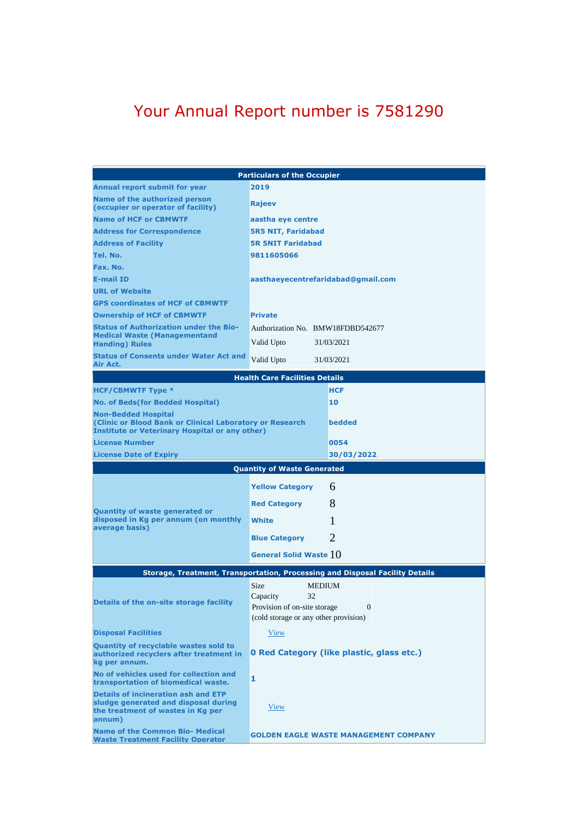## Your Annual Report number is 7581290

|                                                                                                                                                                      | <b>Particulars of the Occupier</b>                                                                                                        |  |  |
|----------------------------------------------------------------------------------------------------------------------------------------------------------------------|-------------------------------------------------------------------------------------------------------------------------------------------|--|--|
| Annual report submit for year                                                                                                                                        | 2019                                                                                                                                      |  |  |
| Name of the authorized person<br>(occupier or operator of facility)                                                                                                  | <b>Rajeev</b>                                                                                                                             |  |  |
| <b>Name of HCF or CBMWTF</b>                                                                                                                                         | aastha eye centre                                                                                                                         |  |  |
| <b>Address for Correspondence</b>                                                                                                                                    | <b>5R5 NIT, Faridabad</b>                                                                                                                 |  |  |
| <b>Address of Facility</b>                                                                                                                                           | <b>5R 5NIT Faridabad</b>                                                                                                                  |  |  |
| Tel. No.                                                                                                                                                             | 9811605066                                                                                                                                |  |  |
| Fax. No.                                                                                                                                                             |                                                                                                                                           |  |  |
| <b>E-mail ID</b>                                                                                                                                                     | aasthaeyecentrefaridabad@gmail.com                                                                                                        |  |  |
| <b>URL of Website</b>                                                                                                                                                |                                                                                                                                           |  |  |
| <b>GPS coordinates of HCF of CBMWTF</b>                                                                                                                              |                                                                                                                                           |  |  |
| <b>Ownership of HCF of CBMWTF</b>                                                                                                                                    | <b>Private</b>                                                                                                                            |  |  |
| <b>Status of Authorization under the Bio-</b><br><b>Medical Waste (Managementand</b><br><b>Handing</b> ) Rules                                                       | Authorization No. BMW18FDBD542677<br>Valid Upto<br>31/03/2021                                                                             |  |  |
| <b>Status of Consents under Water Act and</b><br>Air Act.                                                                                                            | 31/03/2021<br>Valid Upto                                                                                                                  |  |  |
| <b>Health Care Facilities Details</b>                                                                                                                                |                                                                                                                                           |  |  |
| <b>HCF/CBMWTF Type *</b>                                                                                                                                             | <b>HCF</b>                                                                                                                                |  |  |
| No. of Beds(for Bedded Hospital)                                                                                                                                     | 10                                                                                                                                        |  |  |
| <b>Non-Bedded Hospital</b><br><b>Clinic or Blood Bank or Clinical Laboratory or Research</b><br><b>Institute or Veterinary Hospital or any other)</b>                | bedded                                                                                                                                    |  |  |
| <b>License Number</b>                                                                                                                                                | 0054                                                                                                                                      |  |  |
| <b>License Date of Expiry</b>                                                                                                                                        | 30/03/2022                                                                                                                                |  |  |
| <b>Quantity of Waste Generated</b>                                                                                                                                   |                                                                                                                                           |  |  |
|                                                                                                                                                                      | 6                                                                                                                                         |  |  |
|                                                                                                                                                                      | <b>Yellow Category</b>                                                                                                                    |  |  |
|                                                                                                                                                                      |                                                                                                                                           |  |  |
|                                                                                                                                                                      | 8<br><b>Red Category</b>                                                                                                                  |  |  |
| Quantity of waste generated or<br>disposed in Kg per annum (on monthly                                                                                               | L<br>White                                                                                                                                |  |  |
| average basis)                                                                                                                                                       | $\mathcal{D}_{\cdot}$<br><b>Blue Category</b>                                                                                             |  |  |
|                                                                                                                                                                      | General Solid Waste 10                                                                                                                    |  |  |
|                                                                                                                                                                      | Storage, Treatment, Transportation, Processing and Disposal Facility Details                                                              |  |  |
| Details of the on-site storage facility                                                                                                                              | <b>Size</b><br><b>MEDIUM</b><br>32<br>Capacity<br>Provision of on-site storage<br>$\overline{0}$<br>(cold storage or any other provision) |  |  |
| <b>Disposal Facilities</b>                                                                                                                                           | View                                                                                                                                      |  |  |
| Quantity of recyclable wastes sold to<br>authorized recyclers after treatment in<br>kg per annum.                                                                    | <b>0 Red Category (like plastic, glass etc.)</b>                                                                                          |  |  |
| No of vehicles used for collection and<br>transportation of biomedical waste.                                                                                        | 1                                                                                                                                         |  |  |
| <b>Details of incineration ash and ETP</b><br>sludge generated and disposal during<br>the treatment of wastes in Kg per<br>annum)<br>Name of the Common Bio- Medical | View                                                                                                                                      |  |  |